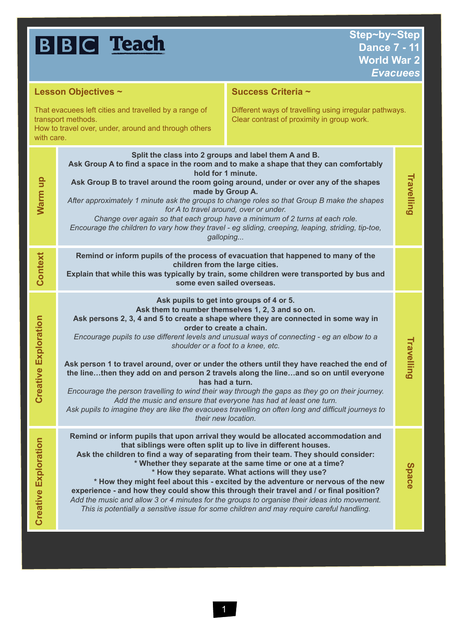| <b>NRIL</b> | Teach |
|-------------|-------|
|             |       |

| Lesson Objectives ~                                                                                                                               |                                                                                                                                                                                                                                                                                                                                                                                                                                                                                                                                                                                                                                                                                                                                                                                                                                                                    | Success Criteria ~                                                                                                                                                                                                                                                                                                                                                                                                                                            |              |  |
|---------------------------------------------------------------------------------------------------------------------------------------------------|--------------------------------------------------------------------------------------------------------------------------------------------------------------------------------------------------------------------------------------------------------------------------------------------------------------------------------------------------------------------------------------------------------------------------------------------------------------------------------------------------------------------------------------------------------------------------------------------------------------------------------------------------------------------------------------------------------------------------------------------------------------------------------------------------------------------------------------------------------------------|---------------------------------------------------------------------------------------------------------------------------------------------------------------------------------------------------------------------------------------------------------------------------------------------------------------------------------------------------------------------------------------------------------------------------------------------------------------|--------------|--|
| That evacuees left cities and travelled by a range of<br>transport methods.<br>How to travel over, under, around and through others<br>with care. |                                                                                                                                                                                                                                                                                                                                                                                                                                                                                                                                                                                                                                                                                                                                                                                                                                                                    | Different ways of travelling using irregular pathways.<br>Clear contrast of proximity in group work.                                                                                                                                                                                                                                                                                                                                                          |              |  |
| Warm up                                                                                                                                           | Split the class into 2 groups and label them A and B.<br>Ask Group A to find a space in the room and to make a shape that they can comfortably<br>hold for 1 minute.<br>Ask Group B to travel around the room going around, under or over any of the shapes<br>made by Group A.<br>After approximately 1 minute ask the groups to change roles so that Group B make the shapes<br>for A to travel around, over or under.<br>Change over again so that each group have a minimum of 2 turns at each role.<br>Encourage the children to vary how they travel - eg sliding, creeping, leaping, striding, tip-toe,<br>galloping                                                                                                                                                                                                                                        |                                                                                                                                                                                                                                                                                                                                                                                                                                                               |              |  |
| Context                                                                                                                                           | Remind or inform pupils of the process of evacuation that happened to many of the<br>children from the large cities.<br>Explain that while this was typically by train, some children were transported by bus and<br>some even sailed overseas.                                                                                                                                                                                                                                                                                                                                                                                                                                                                                                                                                                                                                    |                                                                                                                                                                                                                                                                                                                                                                                                                                                               |              |  |
| <b>Creative Exploration</b>                                                                                                                       | Ask pupils to get into groups of 4 or 5.<br>Ask them to number themselves 1, 2, 3 and so on.<br>Ask persons 2, 3, 4 and 5 to create a shape where they are connected in some way in<br>order to create a chain.<br>Encourage pupils to use different levels and unusual ways of connecting - eg an elbow to a<br>shoulder or a foot to a knee, etc.<br>Ask person 1 to travel around, over or under the others until they have reached the end of<br>the linethen they add on and person 2 travels along the lineand so on until everyone<br>has had a turn.<br>Encourage the person travelling to wind their way through the gaps as they go on their journey.<br>Add the music and ensure that everyone has had at least one turn.<br>Ask pupils to imagine they are like the evacuees travelling on often long and difficult journeys to<br>their new location. |                                                                                                                                                                                                                                                                                                                                                                                                                                                               |              |  |
| <b>Creative Exploration</b>                                                                                                                       | Remind or inform pupils that upon arrival they would be allocated accommodation and<br>Ask the children to find a way of separating from their team. They should consider:<br>Add the music and allow 3 or 4 minutes for the groups to organise their ideas into movement.                                                                                                                                                                                                                                                                                                                                                                                                                                                                                                                                                                                         | that siblings were often split up to live in different houses.<br>* Whether they separate at the same time or one at a time?<br>* How they separate. What actions will they use?<br>* How they might feel about this - excited by the adventure or nervous of the new<br>experience - and how they could show this through their travel and / or final position?<br>This is potentially a sensitive issue for some children and may require careful handling. | <b>Space</b> |  |